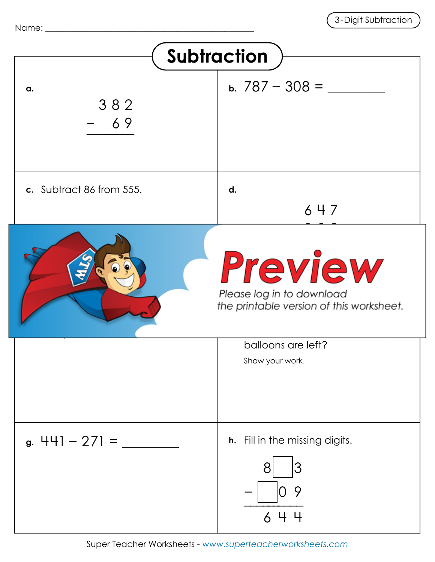